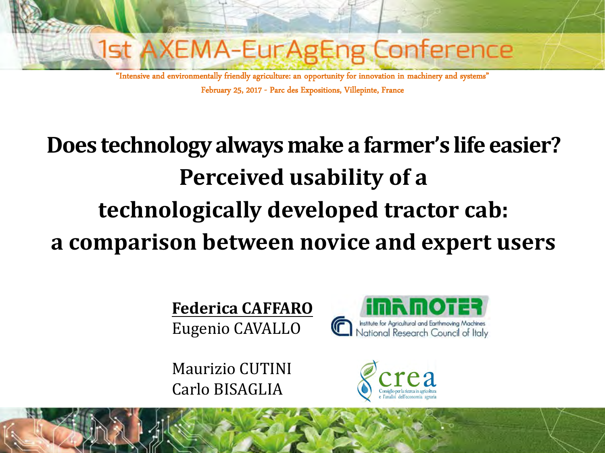

"Intensive and environmentally friendly agriculture: an opportunity for innovation in machinery and systems" February 25, 2017 - Parc des Expositions, Villepinte, France

# **Does technology always make a farmer's life easier? Perceived usability of a technologically developed tractor cab: a comparison between novice and expert users**

**Federica CAFFARO** Eugenio CAVALLO

Maurizio CUTINI Carlo BISAGLIA



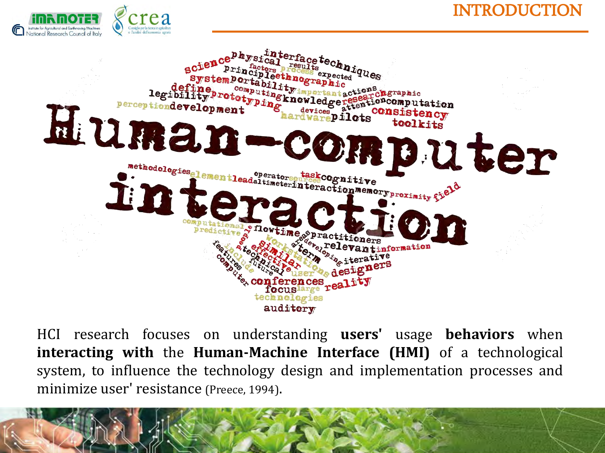





HCI research focuses on understanding **users'** usage **behaviors** when **interacting with** the **Human-Machine Interface (HMI)** of a technological system, to influence the technology design and implementation processes and minimize user' resistance (Preece, 1994).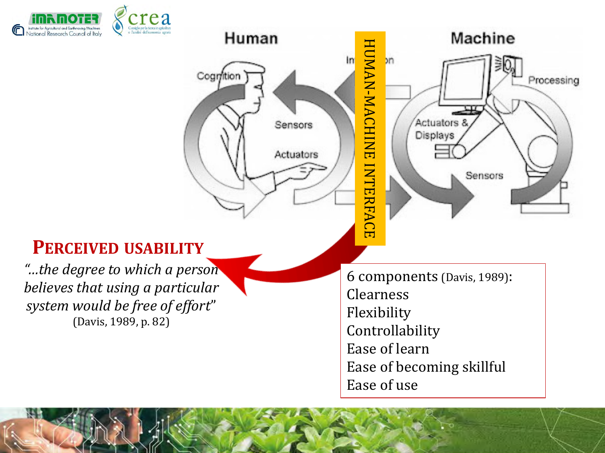



Ease of use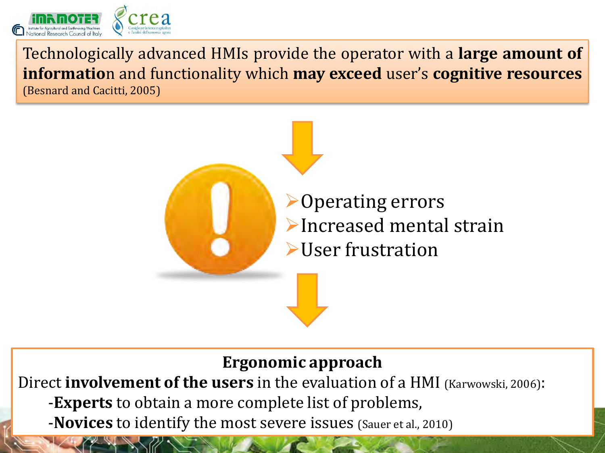

Technologically advanced HMIs provide the operator with a **large amount of informatio**n and functionality which **may exceed** user's **cognitive resources** (Besnard and Cacitti, 2005)



### **Ergonomic approach**

Direct **involvement of the users** in the evaluation of a HMI (Karwowski, 2006): -**Experts** to obtain a more complete list of problems,

-**Novices** to identify the most severe issues (Sauer et al., 2010)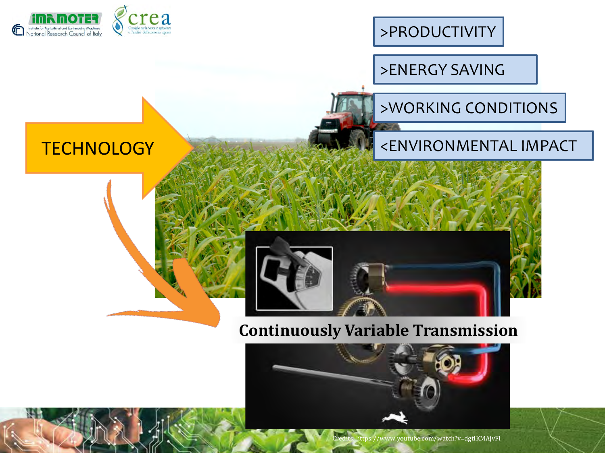

>PRODUCTIVITY

>ENERGY SAVING

### >WORKING CONDITIONS

#### <ENVIRONMENTAL IMPACT

### **TECHNOLOGY**



#### **Continuously Variable Transmission**

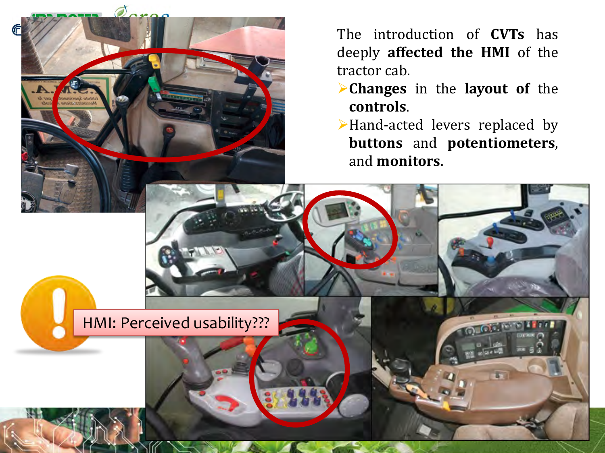The introduction of **CVTs** has deeply **affected the HMI** of the tractor cab. **Changes** in the **layout of** the **controls**. Hand-acted levers replaced by **buttons** and **potentiometers**, and **monitors**. HMI: Perceived usability???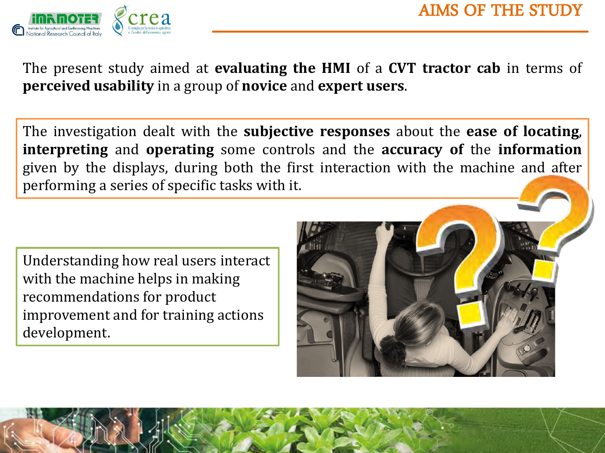



The present study aimed at **evaluating the HMI** of a **CVT tractor cab** in terms of **perceived usability** in a group of **novice** and **expert users**.

The investigation dealt with the **subjective responses** about the **ease of locating**, **interpreting** and **operating** some controls and the **accuracy of** the **information** given by the displays, during both the first interaction with the machine and after performing a series of specific tasks with it.

Understanding how real users interact with the machine helps in making recommendations for product improvement and for training actions development.

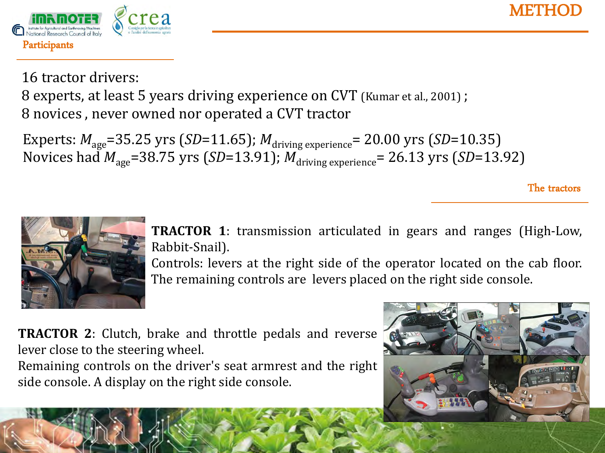



16 tractor drivers:

8 experts, at least 5 years driving experience on CVT (Kumar et al., 2001) ; 8 novices , never owned nor operated a CVT tractor

Experts:  $M_{\text{age}}$ =35.25 yrs (*SD*=11.65);  $M_{\text{driving experience}}$ = 20.00 yrs (*SD*=10.35) Novices had  $M_{\text{age}}$ =38.75 yrs (*SD*=13.91);  $M_{\text{driving experience}} = 26.13$  yrs (*SD*=13.92)

The tractors



**TRACTOR 1**: transmission articulated in gears and ranges (High-Low, Rabbit-Snail).

Controls: levers at the right side of the operator located on the cab floor. The remaining controls are levers placed on the right side console.

**TRACTOR 2**: Clutch, brake and throttle pedals and reverse lever close to the steering wheel. Remaining controls on the driver's seat armrest and the right side console. A display on the right side console.

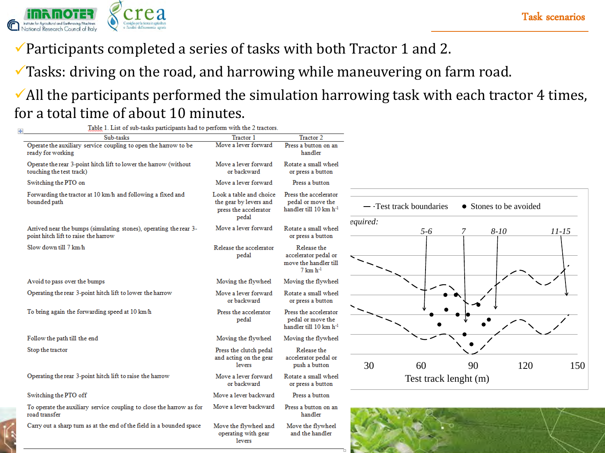

 $\checkmark$  Participants completed a series of tasks with both Tractor 1 and 2.

 $\checkmark$  Tasks: driving on the road, and harrowing while maneuvering on farm road.

#### $\checkmark$  All the participants performed the simulation harrowing task with each tractor 4 times, for a total time of about 10 minutes.

| Table 1. List of sub-tasks participants had to perform with the 2 tractors.                               |                                                                                     |                                                                                       |                                                                                        |
|-----------------------------------------------------------------------------------------------------------|-------------------------------------------------------------------------------------|---------------------------------------------------------------------------------------|----------------------------------------------------------------------------------------|
| Sub-tasks                                                                                                 | Tractor 1                                                                           | Tractor 2                                                                             |                                                                                        |
| Operate the auxiliary service coupling to open the harrow to be<br>ready for working                      | Move a lever forward                                                                | Press a button on an<br>handler                                                       |                                                                                        |
| Operate the rear 3-point hitch lift to lower the harrow (without<br>touching the test track)              | Move a lever forward<br>or backward                                                 | Rotate a small wheel<br>or press a button                                             |                                                                                        |
| Switching the PTO on                                                                                      | Move a lever forward                                                                | Press a button                                                                        |                                                                                        |
| Forwarding the tractor at 10 km/h and following a fixed and<br>bounded path                               | Look a table and choice<br>the gear by levers and<br>press the accelerator<br>pedal | Press the accelerator<br>pedal or move the<br>handler till 10 km h <sup>-1</sup>      | $\overline{\phantom{a}}$ - Test track boundaries<br>• Stones to be avoided<br>equired: |
| Arrived near the bumps (simulating stones), operating the rear 3-<br>point hitch lift to raise the harrow | Move a lever forward                                                                | Rotate a small wheel<br>or press a button                                             | $5 - 6$<br>$8 - 10$<br>$11 - 15$                                                       |
| Slow down till 7 km/h                                                                                     | Release the accelerator<br>pedal                                                    | Release the<br>accelerator pedal or<br>move the handler till<br>$7 \text{ km h}^{-1}$ |                                                                                        |
| Avoid to pass over the bumps                                                                              | Moving the flywheel                                                                 | Moving the flywheel                                                                   |                                                                                        |
| Operating the rear 3-point hitch lift to lower the harrow                                                 | Move a lever forward<br>or backward                                                 | Rotate a small wheel<br>or press a button                                             |                                                                                        |
| To bring again the forwarding speed at 10 km/h                                                            | Press the accelerator<br>pedal                                                      | Press the accelerator<br>pedal or move the<br>handler till 10 km h <sup>-1</sup>      |                                                                                        |
| Follow the path till the end                                                                              | Moving the flywheel                                                                 | Moving the flywheel                                                                   |                                                                                        |
| Stop the tractor                                                                                          | Press the clutch pedal                                                              | Release the                                                                           |                                                                                        |
|                                                                                                           | and acting on the gear<br><b>levers</b>                                             | accelerator pedal or<br>push a button                                                 | 30<br>120<br>60<br>90<br>150                                                           |
| Operating the rear 3-point hitch lift to raise the harrow                                                 | Move a lever forward<br>or backward                                                 | Rotate a small wheel<br>or press a button                                             | Test track lenght (m)                                                                  |
| Switching the PTO off                                                                                     | Move a lever backward                                                               | Press a button                                                                        |                                                                                        |
| To operate the auxiliary service coupling to close the harrow as for<br>road transfer                     | Move a lever backward                                                               | Press a button on an<br>handler                                                       |                                                                                        |
| Carry out a sharp turn as at the end of the field in a bounded space                                      | Move the flywheel and<br>operating with gear<br><b>levers</b>                       | Move the flywheel<br>and the handler                                                  |                                                                                        |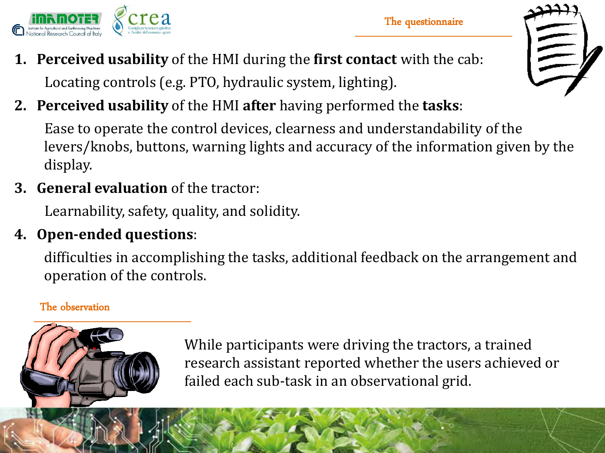

- **1. Perceived usability** of the HMI during the **first contact** with the cab: Locating controls (e.g. PTO, hydraulic system, lighting).
- **2. Perceived usability** of the HMI **after** having performed the **tasks**:

Ease to operate the control devices, clearness and understandability of the levers/knobs, buttons, warning lights and accuracy of the information given by the display.

**3. General evaluation** of the tractor:

Learnability, safety, quality, and solidity.

### **4. Open-ended questions**:

difficulties in accomplishing the tasks, additional feedback on the arrangement and operation of the controls.

#### The observation



While participants were driving the tractors, a trained research assistant reported whether the users achieved or failed each sub-task in an observational grid.



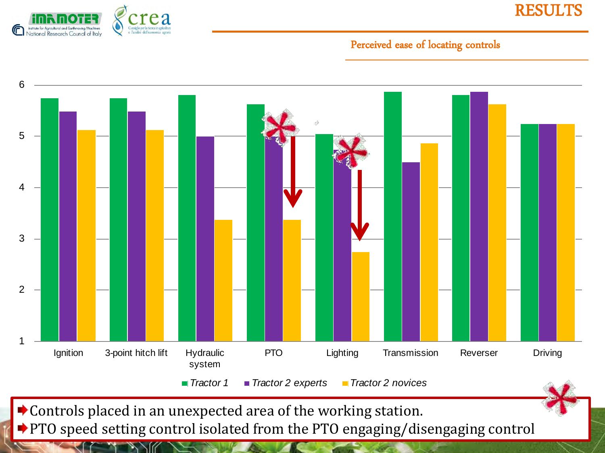

RESULTS

#### Perceived ease of locating controls



Controls placed in an unexpected area of the working station.

◆ PTO speed setting control isolated from the PTO engaging/disengaging control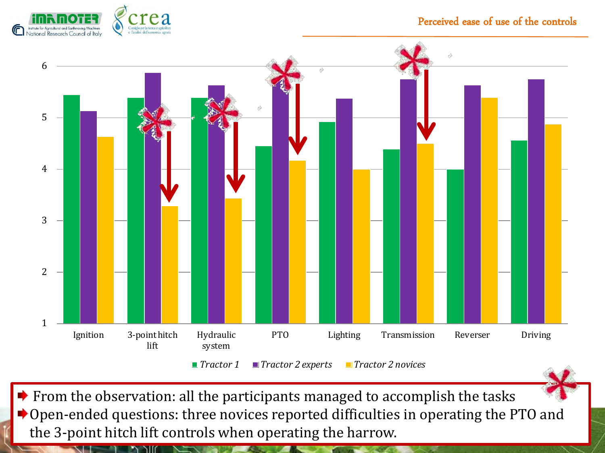

#### Perceived ease of use of the controls



 $\blacktriangleright$  From the observation: all the participants managed to accomplish the tasks Open-ended questions: three novices reported difficulties in operating the PTO and the 3-point hitch lift controls when operating the harrow.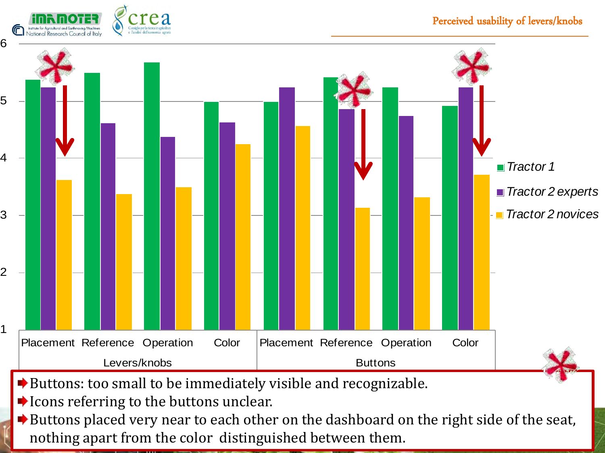

Buttons placed very near to each other on the dashboard on the right side of the seat, nothing apart from the color distinguished between them.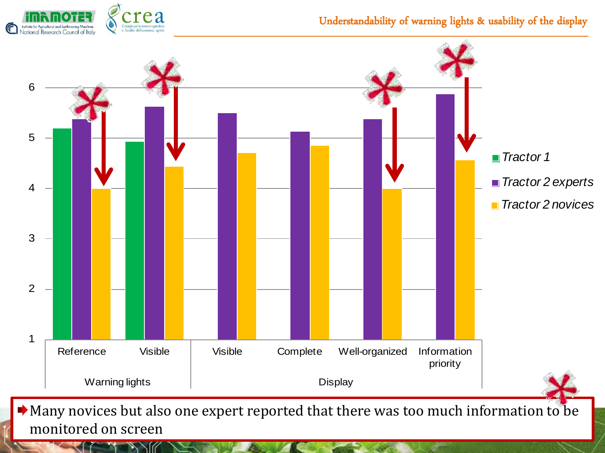

#### Understandability of warning lights & usability of the display

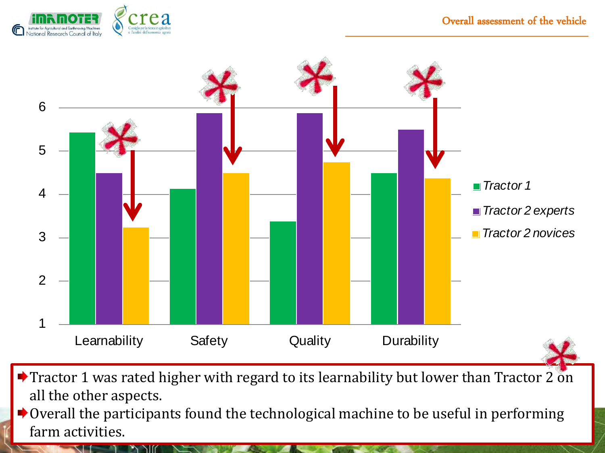

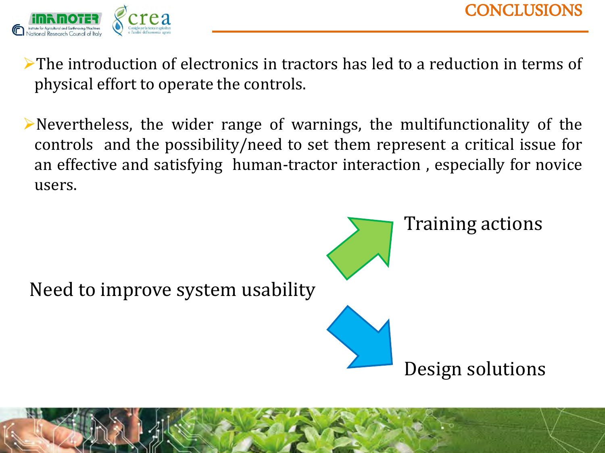

The introduction of electronics in tractors has led to a reduction in terms of physical effort to operate the controls.

Nevertheless, the wider range of warnings, the multifunctionality of the controls and the possibility/need to set them represent a critical issue for an effective and satisfying human-tractor interaction , especially for novice users.

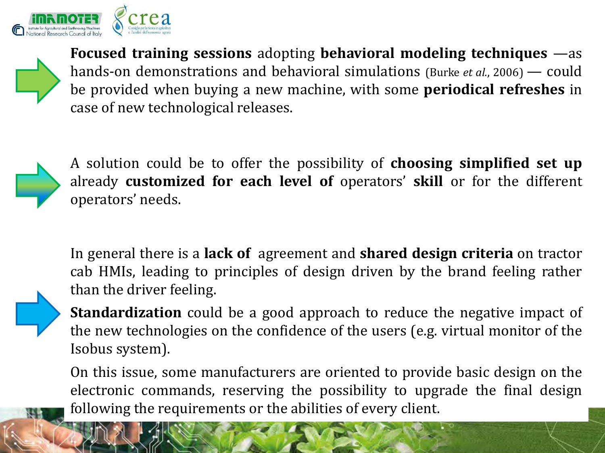



**Focused training sessions** adopting **behavioral modeling techniques** —as hands-on demonstrations and behavioral simulations (Burke *et al.*, 2006) — could be provided when buying a new machine, with some **periodical refreshes** in case of new technological releases.



A solution could be to offer the possibility of **choosing simplified set up** already **customized for each level of** operators' **skill** or for the different operators' needs.

In general there is a **lack of** agreement and **shared design criteria** on tractor cab HMIs, leading to principles of design driven by the brand feeling rather than the driver feeling.



On this issue, some manufacturers are oriented to provide basic design on the electronic commands, reserving the possibility to upgrade the final design following the requirements or the abilities of every client.